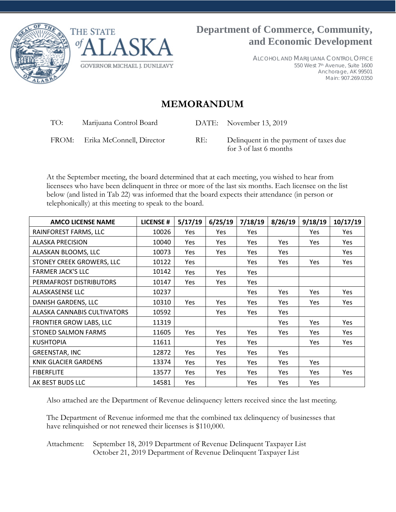



ALCOHOL AND MARIJUANA CONTROL OFFICE 550 West 7th Avenue, Suite 1600 Anchorage, AK 99501 Main: 907.269.0350

# **MEMORANDUM**

TO: Marijuana Control Board DATE: November 13, 2019

FROM: Erika McConnell, Director RE: Delinquent in the payment of taxes due for 3 of last 6 months

At the September meeting, the board determined that at each meeting, you wished to hear from licensees who have been delinquent in three or more of the last six months. Each licensee on the list below (and listed in Tab 22) was informed that the board expects their attendance (in person or telephonically) at this meeting to speak to the board.

| <b>AMCO LICENSE NAME</b>    | <b>LICENSE#</b> | 5/17/19    | 6/25/19    | 7/18/19    | 8/26/19    | 9/18/19    | 10/17/19   |
|-----------------------------|-----------------|------------|------------|------------|------------|------------|------------|
| RAINFOREST FARMS, LLC       | 10026           | Yes        | Yes        | <b>Yes</b> |            | Yes        | Yes        |
| <b>ALASKA PRECISION</b>     | 10040           | Yes        | Yes        | <b>Yes</b> | Yes        | <b>Yes</b> | Yes        |
| ALASKAN BLOOMS, LLC         | 10073           | <b>Yes</b> | Yes        | Yes        | Yes        |            | Yes        |
| STONEY CREEK GROWERS, LLC   | 10122           | Yes        |            | Yes        | Yes        | Yes        | Yes        |
| <b>FARMER JACK'S LLC</b>    | 10142           | Yes        | <b>Yes</b> | Yes        |            |            |            |
| PERMAFROST DISTRIBUTORS     | 10147           | Yes        | Yes        | <b>Yes</b> |            |            |            |
| <b>ALASKASENSE LLC</b>      | 10237           |            |            | Yes        | Yes        | Yes        | Yes        |
| DANISH GARDENS, LLC         | 10310           | Yes        | <b>Yes</b> | <b>Yes</b> | Yes        | <b>Yes</b> | Yes        |
| ALASKA CANNABIS CULTIVATORS | 10592           |            | <b>Yes</b> | Yes        | Yes        |            |            |
| FRONTIER GROW LABS, LLC     | 11319           |            |            |            | Yes        | <b>Yes</b> | Yes        |
| <b>STONED SALMON FARMS</b>  | 11605           | Yes        | Yes        | Yes        | Yes        | <b>Yes</b> | Yes        |
| <b>KUSHTOPIA</b>            | 11611           |            | Yes        | <b>Yes</b> |            | Yes        | Yes        |
| <b>GREENSTAR, INC</b>       | 12872           | Yes        | Yes        | Yes        | Yes        |            |            |
| <b>KNIK GLACIER GARDENS</b> | 13374           | <b>Yes</b> | <b>Yes</b> | Yes        | Yes        | Yes        |            |
| <b>FIBERFLITE</b>           | 13577           | Yes        | Yes        | Yes        | Yes        | Yes        | <b>Yes</b> |
| AK BEST BUDS LLC            | 14581           | Yes        |            | Yes        | <b>Yes</b> | Yes        |            |

Also attached are the Department of Revenue delinquency letters received since the last meeting.

The Department of Revenue informed me that the combined tax delinquency of businesses that have relinquished or not renewed their licenses is \$110,000.

Attachment: September 18, 2019 Department of Revenue Delinquent Taxpayer List October 21, 2019 Department of Revenue Delinquent Taxpayer List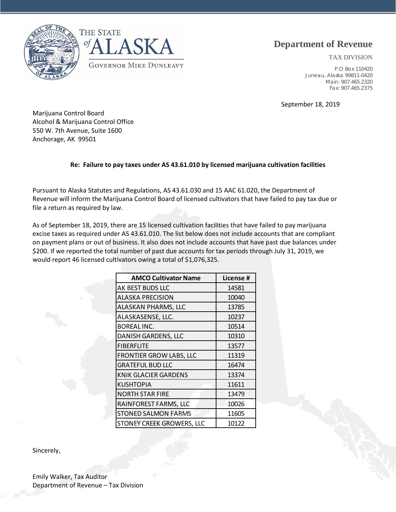

## **Department of Revenue**

TAX DIVISION

P.O Box 110420 Juneau, Alaska 99811-0420 Main: 907.465.2320 Fax: 907.465.2375

September 18, 2019

Marijuana Control Board Alcohol & Marijuana Control Office 550 W. 7th Avenue, Suite 1600 Anchorage, AK 99501

#### **Re: Failure to pay taxes under AS 43.61.010 by licensed marijuana cultivation facilities**

Pursuant to Alaska Statutes and Regulations, AS 43.61.030 and 15 AAC 61.020, the Department of Revenue will inform the Marijuana Control Board of licensed cultivators that have failed to pay tax due or file a return as required by law.

As of September 18, 2019, there are 15 licensed cultivation facilities that have failed to pay marijuana excise taxes as required under AS 43.61.010. The list below does not include accounts that are compliant on payment plans or out of business. It also does not include accounts that have past due balances under \$200. If we reported the total number of past due accounts for tax periods through July 31, 2019, we would report 46 licensed cultivators owing a total of \$1,076,325.

| <b>AMCO Cultivator Name</b>    | License # |  |  |
|--------------------------------|-----------|--|--|
| AK BEST BUDS LLC               | 14581     |  |  |
| ALASKA PRECISION               | 10040     |  |  |
| ALASKAN PHARMS, LLC            | 13785     |  |  |
| ALASKASENSE, LLC.              | 10237     |  |  |
| <b>BOREAL INC.</b>             | 10514     |  |  |
| <b>DANISH GARDENS, LLC</b>     | 10310     |  |  |
| <b>FIBERFLITE</b>              | 13577     |  |  |
| <b>FRONTIER GROW LABS, LLC</b> | 11319     |  |  |
| <b>GRATEFUL BUD LLC</b>        | 16474     |  |  |
| <b>KNIK GLACIER GARDENS</b>    | 13374     |  |  |
| KUSHTOPIA                      | 11611     |  |  |
| <b>NORTH STAR FIRE</b>         | 13479     |  |  |
| RAINFOREST FARMS, LLC          | 10026     |  |  |
| <b>STONED SALMON FARMS</b>     | 11605     |  |  |
| STONEY CREEK GROWERS, LLC      | 10122     |  |  |

Sincerely,